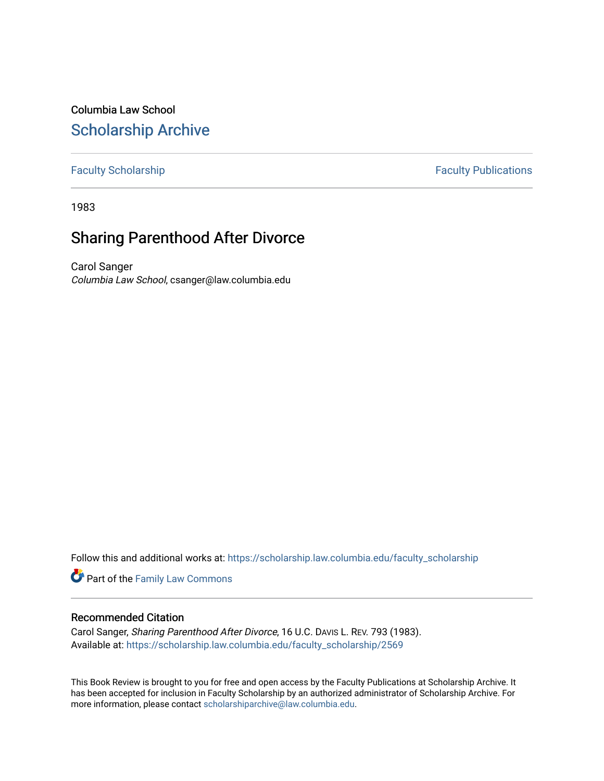Columbia Law School [Scholarship Archive](https://scholarship.law.columbia.edu/) 

## [Faculty Scholarship](https://scholarship.law.columbia.edu/faculty_scholarship) **Faculty Publications**

1983

## Sharing Parenthood After Divorce

Carol Sanger Columbia Law School, csanger@law.columbia.edu

Follow this and additional works at: [https://scholarship.law.columbia.edu/faculty\\_scholarship](https://scholarship.law.columbia.edu/faculty_scholarship?utm_source=scholarship.law.columbia.edu%2Ffaculty_scholarship%2F2569&utm_medium=PDF&utm_campaign=PDFCoverPages)

Part of the [Family Law Commons](http://network.bepress.com/hgg/discipline/602?utm_source=scholarship.law.columbia.edu%2Ffaculty_scholarship%2F2569&utm_medium=PDF&utm_campaign=PDFCoverPages) 

## Recommended Citation

Carol Sanger, Sharing Parenthood After Divorce, 16 U.C. DAVIS L. REV. 793 (1983). Available at: [https://scholarship.law.columbia.edu/faculty\\_scholarship/2569](https://scholarship.law.columbia.edu/faculty_scholarship/2569?utm_source=scholarship.law.columbia.edu%2Ffaculty_scholarship%2F2569&utm_medium=PDF&utm_campaign=PDFCoverPages)

This Book Review is brought to you for free and open access by the Faculty Publications at Scholarship Archive. It has been accepted for inclusion in Faculty Scholarship by an authorized administrator of Scholarship Archive. For more information, please contact [scholarshiparchive@law.columbia.edu.](mailto:scholarshiparchive@law.columbia.edu)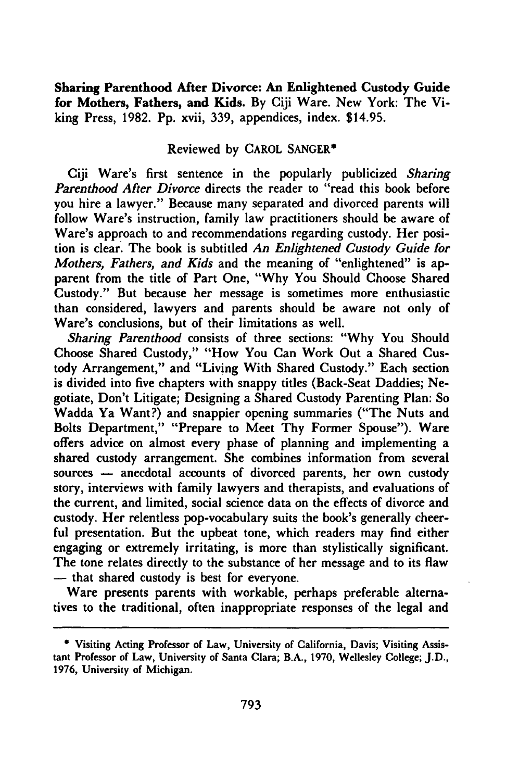**Sharing Parenthood After Divorce: An Enlightened Custody Guide for Mothers, Fathers, and Kids. By Ciji Ware. New York: The Viking Press, 1982. Pp. xvii, 339,** appendices, **index. \$14.95.**

## **Reviewed by** CAROL **SANGER\***

Ciji Ware's first sentence in the popularly publicized *Sharing Parenthood After Divorce* directs the reader to "read this book before you hire a lawyer." Because many separated and divorced parents will follow Ware's instruction, family law practitioners should be aware of Ware's approach to and recommendations regarding custody. Her position is clear. The book is subtitled *An Enlightened Custody Guide for Mothers, Fathers, and Kids* and the meaning of "enlightened" is apparent from the title of Part One, **"Why** You Should Choose Shared Custody." But because her message is sometimes more enthusiastic than considered, lawyers and parents should be aware not only of Ware's conclusions, but of their limitations as well.

*Sharing Parenthood* consists of three sections: **"Why** You Should Choose Shared Custody," "How You Can Work Out a Shared Custody Arrangement," and "Living With Shared Custody." Each section is divided into five chapters with snappy titles (Back-Seat Daddies; Negotiate, Don't Litigate; Designing a Shared Custody Parenting Plan: So Wadda Ya Want?) and snappier opening summaries ("The Nuts and Bolts Department," "Prepare to Meet Thy Former Spouse"). Ware offers advice on almost every phase of planning and implementing a shared custody arrangement. She combines information from several sources – anecdotal accounts of divorced parents, her own custody story, interviews with family lawyers and therapists, and evaluations of the current, and limited, social science data on the effects of divorce and custody. Her relentless pop-vocabulary suits the book's generally cheerful presentation. But the upbeat tone, which readers may find either engaging or extremely irritating, is more than stylistically significant. The tone relates directly to the substance of her message and to its flaw **-** that shared custody is best for everyone.

Ware presents parents with workable, perhaps preferable alternatives to the traditional, often inappropriate responses of the legal and

**<sup>\*</sup>** Visiting Acting Professor of Law, University of California, Davis; Visiting Assistant Professor of Law, University of Santa Clara; B.A., 1970, Wellesley College; J.D., 1976, University of Michigan.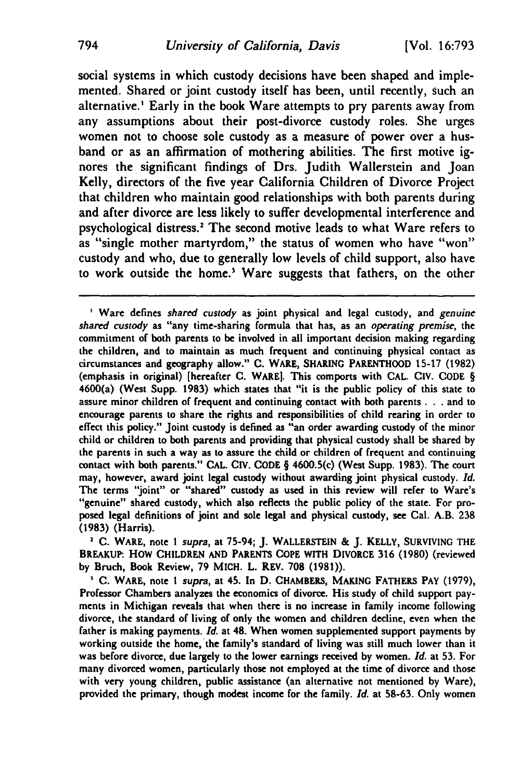social systems in which custody decisions have been shaped and implemented. Shared or joint custody itself has been, until recently, such an alternative.' Early in the book Ware attempts to pry parents away from any assumptions about their post-divorce custody roles. She urges women not to choose sole custody as a measure of power over a husband or as an affirmation of mothering abilities. The first motive ignores the significant findings of Drs. Judith Wallerstein and Joan Kelly, directors of the five year California Children of Divorce Project that children who maintain good relationships with both parents during and after divorce are less likely to suffer developmental interference and psychological distress.' The second motive leads to what Ware refers to as "single mother martyrdom," the status of women who have **"won"** custody and who, due to generally low levels of child support, also have to work outside the home.' Ware suggests that fathers, on the other

**2 C.** WARE, note *I* supra, at **75-94; J.** WALLERSTEIN & **J.** KELLY, SURVIVING THE BREAKUP: HOW CHILDREN **AND PARENTS COPE** WITH DIVORCE 316 **(1980)** (reviewed **by** Bruch, Book Review, **79** MICH. L. REV. **708 (1981)).**

**' C.** WARE, note *I supra,* at 45. In **D.** CHAMBERS, **MAKING** FATHERS PAY **(1979),** Professor Chambers analyzes the economics of divorce. His study of child support payments in Michigan reveals that when there is no increase in family income following divorce, the standard of living of only the women and children decline, even when the father is making payments. *Id.* at 48. When women supplemented support payments **by** working outside the home, the family's standard of living was still much lower than it was before divorce, due largely to the lower earnings received **by** women. *Id.* at **53.** For many divorced women, particularly those not employed at the time of divorce and those with very young children, public assistance (an alternative not mentioned **by** Ware), provided the primary, though modest income for the family. *Id.* at **58-63.** Only women

**<sup>&#</sup>x27;** Ware defines *shared custody* as joint physical and legal custody, and *genuine* shared custody as "any time-sharing formula that has, as an *operating premise,* the commitment of both parents to **be** involved in all important decision making regarding the children, and to maintain as much frequent and continuing physical contact as circumstances and geography allow." **C.** WARE, **SHARING** PARENTHOOD **15-17** (1982) (emphasis in original) [hereafter **C.** WARE]. This comports with **CAL. CIV. CODE** § 4600(a) (West Supp. **1983)** which states that "it is the public policy of this state to assure minor children of frequent and continuing contact with both parents. **. .** and to encourage parents to share the rights and responsibilities of child rearing in order to effect this policy." Joint custody is defined as "an order awarding custody of the minor child or children to both parents and providing that physical custody shall be shared **by** the parents in such a way as to assure the child or children of frequent and continuing contact with both parents." **CAL. CIV. CODE** § 4600.5(c) (West Supp. **1983).** The court may, however, award joint legal custody without awarding joint physical custody. *Id.* The terms "joint" or "shared" custody as used in this review will refer to Ware's "genuine" shared custody, which also reflects the public policy of the state. For proposed legal definitions of joint and sole legal and physical custody, see Cal. A.B. **238 (1983)** (Harris).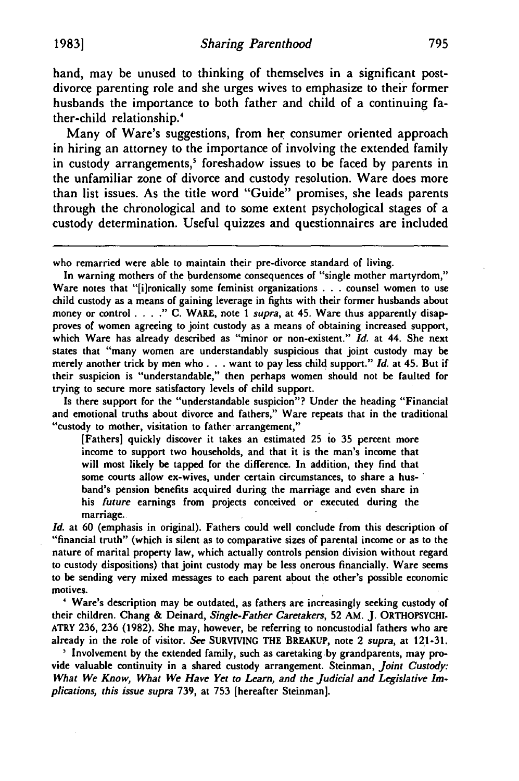hand, may be unused to thinking of themselves in a significant postdivorce parenting role and she urges wives to emphasize to their former husbands the importance to both father and child of a continuing father-child relationship.'

Many of Ware's suggestions, from her consumer oriented approach in hiring an attorney to the importance of involving the extended family in custody arrangements,' foreshadow issues to be faced **by** parents in the unfamiliar zone of divorce and custody resolution. Ware does more than list issues. As the title word "Guide" promises, she leads parents through the chronological and to some extent psychological stages of a custody determination. Useful quizzes and questionnaires are included

who remarried were able to maintain their pre-divorce standard of living.

In warning mothers of the burdensome consequences of "single mother martyrdom," Ware notes that "[i]ronically some feminist organizations . . . counsel women to use child custody as a means of gaining leverage in fights with their former husbands about money or control . **. . ."** C. WARE, note *I supra,* at 45. Ware thus apparently disapproves of women agreeing to joint custody as a means of obtaining increased support, which Ware has already described as "minor or non-existent." *Id.* at 44. She next states that "many women are understandably suspicious that joint custody may be merely another trick by men who. **. .** want to pay less child support." *Id.* at 45. But if their suspicion is "understandable," then perhaps women should not be faulted for trying to secure more satisfactory levels of child support.

Is there support for the "understandable suspicion"? Under the heading "Financial and emotional truths about divorce and fathers," Ware repeats that in the traditional "custody to mother, visitation to father arrangement,"

[Fathers] quickly discover it takes an estimated 25 to 35 percent more income to support two households, and that it is the man's income that will most likely be tapped for the difference. In addition, they find that some courts allow ex-wives, under certain circumstances, to share a husband's pension benefits acquired during the marriage and even share in his *future* earnings from projects conceived or executed during the marriage.

*Id.* at 60 (emphasis in original). Fathers could well conclude from this description of "financial truth" (which is silent as to comparative sizes of parental income or as to the nature of marital property law, which actually controls pension division without regard to custody dispositions) that joint custody may be less onerous financially. Ware seems to be sending very mixed messages to each parent about the other's possible economic motives.

**'** Ware's description may be outdated, as fathers are increasingly seeking custody of their children. Chang **&** Deinard, *Single-Father Caretakers,* 52 AM. J. ORTHOPSYCHI-ATRY 236, 236 (1982). She may, however, be referring to noncustodial fathers who are already in the role of visitor. **See** SURVIVING THE BREAKUP, note 2 *supra,* at 121-31.

**'** Involvement by the extended family, such as caretaking by grandparents, may provide valuable continuity in a shared custody arrangement. Steinman, *Joint Custody:* What We *Know, What We Have Yet to Learn, and the Judicial and Legislative Implications, this issue supra* 739, at 753 [hereafter Steinman].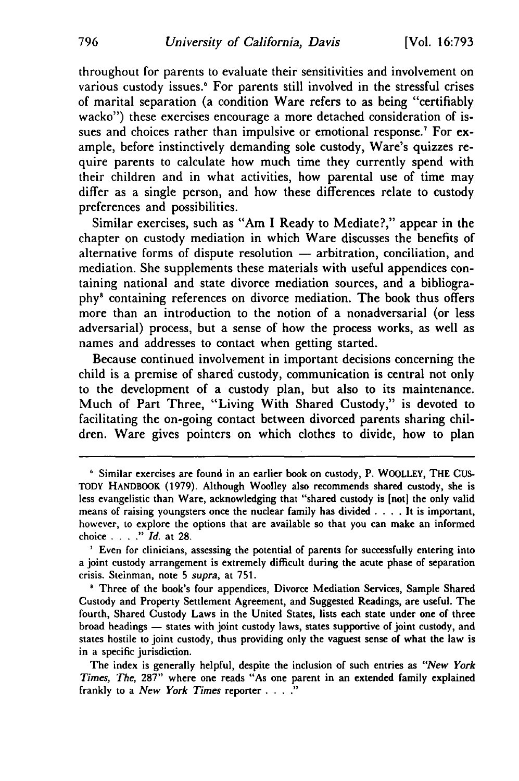throughout for parents to evaluate their sensitivities and involvement on various custody issues.<sup>6</sup> For parents still involved in the stressful crises of marital separation (a condition Ware refers to as being "certifiably wacko") these exercises encourage a more detached consideration of issues and choices rather than impulsive or emotional response.' For example, before instinctively demanding sole custody, Ware's quizzes require parents to calculate how much time they currently spend with their children and in what activities, how parental use of time may differ as a single person, and how these differences relate to custody preferences and possibilities.

Similar exercises, such as "Am I Ready to Mediate?," appear in the chapter on custody mediation in which Ware discusses the benefits of alternative forms of dispute resolution  $-$  arbitration, conciliation, and mediation. She supplements these materials with useful appendices containing national and state divorce mediation sources, and a bibliography8 containing references on divorce mediation. The book thus offers more than an introduction to the notion of a nonadversarial (or less adversarial) process, but a sense of how the process works, as well as names and addresses to contact when getting started.

Because continued involvement in important decisions concerning the child is a premise of shared custody, communication is central not only to the development of a custody plan, but also to its maintenance. Much of Part Three, "Living With Shared Custody," is devoted to facilitating the on-going contact between divorced parents sharing children. Ware gives pointers on which clothes to divide, how to plan

**<sup>6</sup>** Similar exercises are found in an earlier book on custody, P. WOOLLEY, THE **CUS-**TODY HANDBOOK **(1979).** Although Woolley also recommends shared custody, she is less evangelistic than Ware, acknowledging that "shared custody is [not] the only valid means of raising youngsters once the nuclear family has divided .**. .** .It is important, however, to explore the options that are available so that you can make an informed choice . **. . ."** *Id.* at **28.**

Even for clinicians, assessing the potential of parents for successfully entering into a joint custody arrangement is extremely difficult during the acute phase of separation crisis. Steinman, note **5** *supra,* at **751.**

**<sup>&#</sup>x27;** Three of the book's four appendices, Divorce Mediation Services, Sample Shared Custody and Property Settlement Agreement, and Suggested Readings, are useful. The fourth, Shared Custody Laws in the United States, lists each state under one of three broad headings - states with joint custody laws, states supportive of joint custody, and states hostile to joint custody, thus providing only the vaguest sense of what the law is in a specific jurisdiction.

The index is generally helpful, despite the inclusion of such entries as *"New York Times, The,* **287"** where one reads "As one parent in an extended family explained frankly to a *New York Times* reporter . **.. .**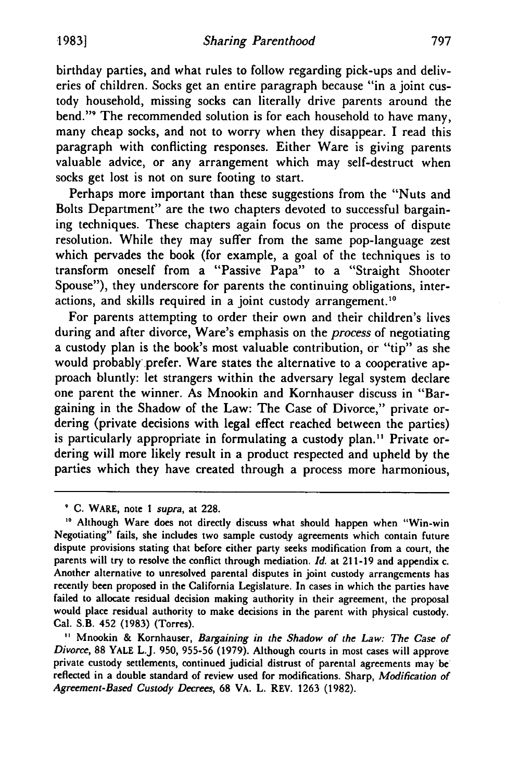birthday parties, and what rules to follow regarding pick-ups and deliveries of children. Socks get an entire paragraph because "in a joint custody household, missing socks can literally drive parents around the bend."9 The recommended solution is for each household to have many, many cheap socks, and not to worry when they disappear. I read this paragraph with conflicting responses. Either Ware is giving parents valuable advice, or any arrangement which may self-destruct when socks get lost is not on sure footing to start.

Perhaps more important than these suggestions from the "Nuts and Bolts Department" are the two chapters devoted to successful bargaining techniques. These chapters again focus on the process of dispute resolution. While they may suffer from the same pop-language zest which pervades the book (for example, a goal of the techniques is to transform oneself from a "Passive Papa" to a "Straight Shooter Spouse"), they underscore for parents the continuing obligations, interactions, and skills required in a joint custody arrangement."

For parents attempting to order their own and their children's lives during and after divorce, Ware's emphasis on the *process* of negotiating a custody plan is the book's most valuable contribution, or "tip" as she would probably prefer. Ware states the alternative to a cooperative approach bluntly: let strangers within the adversary legal system declare one parent the winner. As Mnookin and Kornhauser discuss in "Bargaining in the Shadow of the Law: The Case of Divorce," private ordering (private decisions with legal effect reached between the parties) is particularly appropriate in formulating a custody plan.<sup>11</sup> Private ordering will more likely result in a product respected and upheld by the parties which they have created through a process more harmonious,

**C.** WARE, note I *supra,* at 228.

Although Ware does not directly discuss what should happen when "Win-win Negotiating" fails, she includes two sample custody agreements which contain future dispute provisions stating that before either party seeks modification from a court, the parents will try to resolve the conflict through mediation. *Id.* at 211-19 and appendix c. Another alternative to unresolved parental disputes in joint custody arrangements has recently been proposed in the California Legislature. In cases in which the parties have failed to allocate residual decision making authority in their agreement, the proposal would place residual authority to make decisions in the parent with physical custody. Cal. S.B. 452 (1983) (Torres).

**<sup>&</sup>quot;** Mnookin & Kornhauser, *Bargaining in the Shadow of the Law: The Case of Divorce,* **88** YALE L.J. **950, 955-56 (1979).** Although courts in most cases will approve private custody settlements, continued judicial distrust of parental agreements may-be reflected in a double standard of review used for modifications. Sharp, *Modification of Agreement-Based Custody Decrees,* **68** VA. L. REV. **1263 (1982).**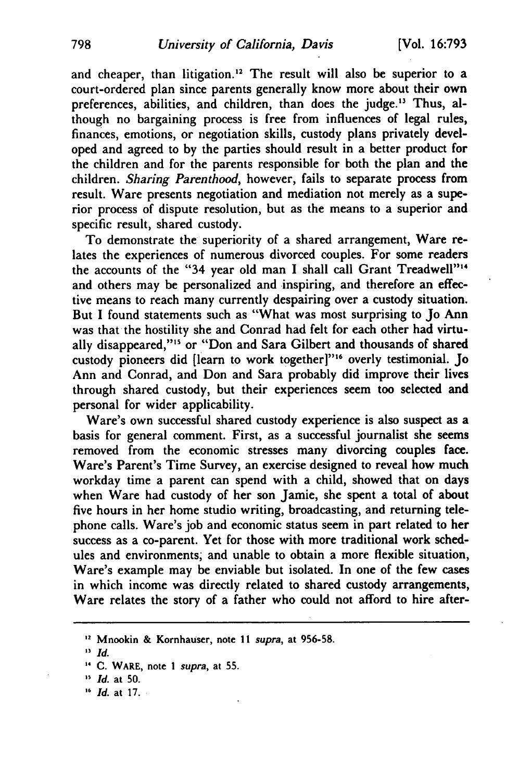and cheaper, than litigation.<sup>12</sup> The result will also be superior to a court-ordered plan since parents generally know more about their own preferences, abilities, and children, than does the judge." Thus, although no bargaining process is free from influences of legal rules, finances, emotions, or negotiation skills, custody plans privately developed and agreed to **by** the parties should result in a better product for the children and for the parents responsible for both the plan and the children. *Sharing Parenthood,* however, fails to separate process from result. Ware presents negotiation and mediation not merely as a superior process of dispute resolution, but as the means to a superior and specific result, shared custody.

To demonstrate the superiority of a shared arrangement, Ware relates the experiences of numerous divorced couples. For some readers the accounts of the "34 year old man I shall call Grant Treadwell"<sup>14</sup> and others may be personalized and inspiring, and therefore an effective means to reach many currently despairing over a custody situation. But I found statements such as "What was most surprising to Jo Ann was that the hostility she and Conrad had felt for each other had virtually disappeared,"<sup>15</sup> or "Don and Sara Gilbert and thousands of shared custody pioneers did [learn to work together]"<sup>16</sup> overly testimonial. Jo Ann and Conrad, and Don and Sara probably did improve their lives through shared custody, but their experiences seem too selected and personal for wider applicability.

Ware's own successful shared custody experience is also suspect as a basis for general comment. First, as a successful journalist she seems removed from the economic stresses many divorcing couples face. Ware's Parent's Time Survey, an exercise designed to reveal how much workday time a parent can spend with a child, showed that on days when Ware had custody of her son Jamie, she spent a total of about five hours in her home studio writing, broadcasting, and returning telephone calls. Ware's **job** and economic status seem in part related to her success as a co-parent. Yet for those with more traditional work schedules and environments; and unable to obtain a more flexible situation, Ware's example may be enviable but isolated. In one of the few cases in which income was directly related to shared custody arrangements, Ware relates the story of a father who could not afford to hire after-

**<sup>,2</sup>** Mnookin **&** Kornhauser, note **11** *supra,* at **956-58.**

**<sup>13</sup>** *Id.*

**<sup>&#</sup>x27;4 C.** WARE, note **I** *supra,* at **55.**

**<sup>&</sup>quot;** Id. at **50.**

*Id.* at **17.**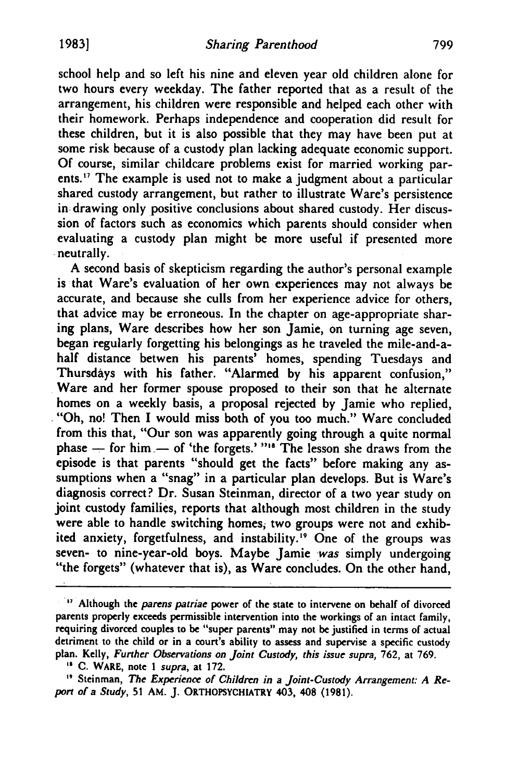school help and so left his nine and eleven year old children alone for two hours every weekday. The father reported that as a result of the arrangement, his children were responsible and helped each other with their homework. Perhaps independence and cooperation did result for these children, but it is also possible that they may have been put at some risk because of a custody plan lacking adequate economic support. **Of** course, similar childcare problems exist for married working parents.<sup>17</sup> The example is used not to make a judgment about a particular shared custody arrangement, but rather to illustrate Ware's persistence **in:** drawing only positive conclusions about shared custody. Her discussion of factors such as economics which parents should consider when evaluating a custody plan might be more useful if presented more neutrally.

A second basis of skepticism regarding the author's personal example is that Ware's evaluation of her own experiences may not always be accurate, and because she culls from her experience advice for others, that advice may be erroneous. In the chapter on age-appropriate sharing plans, Ware describes how her son Jamie, on turning age seven, began regularly forgetting his belongings as he traveled the mile-and-ahalf distance betwen his parents' homes, spending Tuesdays and Thursdays with his father. "Alarmed by his apparent confusion," Ware and her former spouse proposed to their son that he alternate homes on a weekly basis, a proposal rejected by Jamie who replied, ."Oh, no! Then I would miss both of you too much." Ware concluded from this that, "Our son was apparently going through a quite normal phase – for him – of 'the forgets.' "<sup>18</sup> The lesson she draws from the episode is that parents "should get the facts" before making any assumptions when a "snag" in a particular plan develops. But is Ware's diagnosis correct? Dr. Susan Steinman, director of a two year study on joint custody families, reports that although most children in the study were able to handle switching homes, two groups were not and exhibited anxiety, forgetfulness, and instability.<sup>19</sup> One of the groups was seven- to nine-year-old boys. Maybe Jamie *was* simply undergoing "the forgets" (whatever that is), as Ware concludes. On the other hand,

**<sup>17</sup>**Although the *parens patriae* power of the state to intervene on behalf of divorced parents properly exceeds permissible intervention into the workings of an intact family, requiring divorced couples to be "super parents" may not **be** justified in terms of actual detriment to the child or in a court's ability to assess and supervise a specific custody plan. Kelly, *Further Observations on Joint Custody, this issue supra,* 762, at 769.

**<sup>&</sup>quot; C.** WARE, note *I supra,* at **172.**

**<sup>&</sup>quot;** Steinman, *The Experience of Children in a Joint-Custody Arrangement: A Report of a* Study, **51** AM. **J.** ORTHOPSYCHIATRY 403, 408 **(1981).**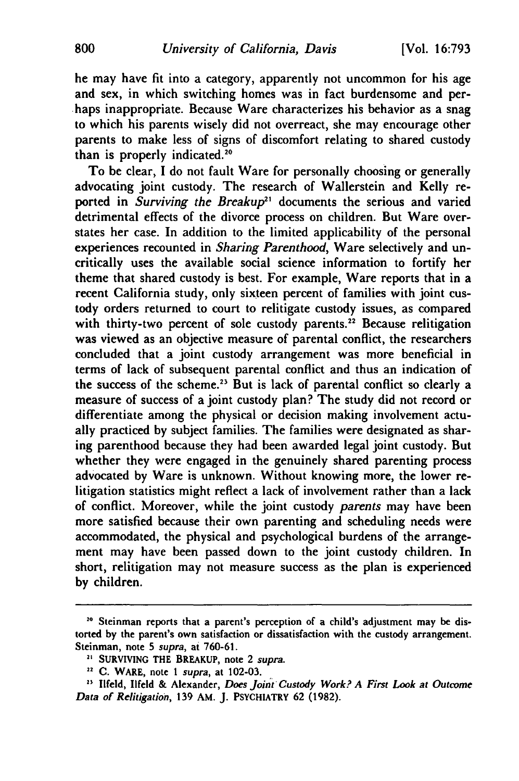he may have fit into a category, apparently not uncommon for his age and sex, in which switching homes was in fact burdensome and perhaps inappropriate. Because Ware characterizes his behavior as a snag to which his parents wisely did not overreact, she may encourage other parents to make less of signs of discomfort relating to shared custody than is properly indicated.<sup>20</sup>

To be clear, I do not fault Ware for personally choosing or generally advocating joint custody. The research of Wallerstein and Kelly reported in *Surviving the Breakup<sup>21</sup>* documents the serious and varied detrimental effects of the divorce process on children. But Ware overstates her case. In addition to the limited applicability of the personal experiences recounted in *Sharing Parenthood,* Ware selectively and uncritically uses the available social science information to fortify her theme that shared custody is best. For example, Ware reports that in a recent California study, only sixteen percent of families with joint custody orders returned to court to relitigate custody issues, as compared with thirty-two percent of sole custody parents.<sup>22</sup> Because relitigation was viewed as an objective measure of parental conflict, the researchers concluded that a joint custody arrangement was more beneficial in terms of lack of subsequent parental conflict and thus an indication of the success of the scheme.<sup>23</sup> But is lack of parental conflict so clearly a measure of success of a joint custody plan? The study did not record or differentiate among the physical or decision making involvement actually practiced **by** subject families. The families were designated as sharing parenthood because they had been awarded legal joint custody. But whether they were engaged in the genuinely shared parenting process advocated **by** Ware is unknown. Without knowing more, the lower relitigation statistics might reflect a lack of involvement rather than a lack of conflict. Moreover, while the joint custody *parents* may have been more satisfied because their own parenting and scheduling needs were accommodated, the physical and psychological burdens of the arrangement may have been passed down to the joint custody children. In short, relitigation may not measure success as the plan is experienced **by** children.

**<sup>20</sup>** Steinman reports that a parent's perception of a child's adjustment may **be** distorted **by** the parent's own satisfaction or dissatisfaction with the custody arrangement. Steinman, note **5** *supra,* at **760-61.**

**<sup>2&</sup>quot;** SURVIVING THE BREAKUP, note 2 *supra.*

**<sup>22</sup> C.** WARE, note **I** *supra,* at **102-03.**

**<sup>23</sup>** llfeld, Ilfeld **&** Alexander, *Does Joint Custody Work? A First Look at Outcome Data of Relitigation,* **139 AM. J.** PSYCHIATRY **62 (1982).**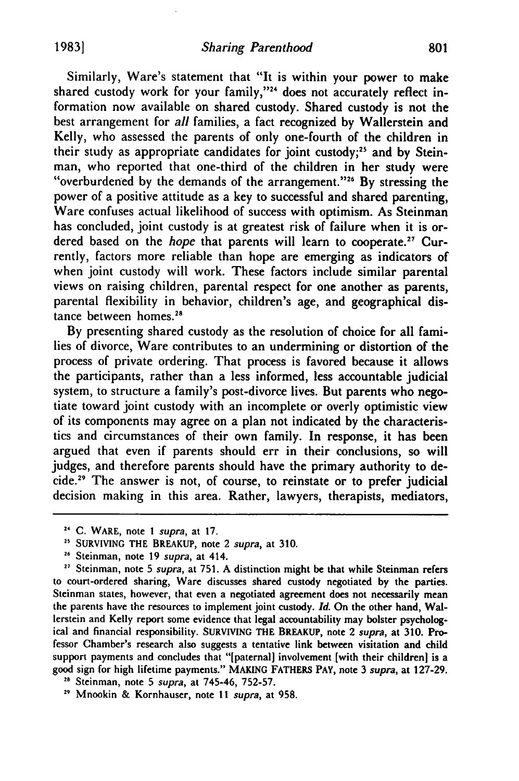Similarly, Ware's statement that "It is within your power to make shared custody work for your family,"<sup>24</sup> does not accurately reflect information now available on shared custody. Shared custody is not the best arrangement for *all* families, a fact recognized **by** Wallerstein and Kelly, who assessed the parents of only one-fourth of the children in their study as appropriate candidates for joint custody;" and **by** Steinman, who reported that one-third of the children in her study were "overburdened by the demands of the arrangement."<sup>26</sup> By stressing the power of a positive attitude as a key to successful and shared parenting, Ware confuses actual likelihood of success with optimism. As Steinman has concluded, joint custody is at greatest risk of failure when it is ordered based on the *hope* that parents will learn to cooperate.<sup>27</sup> Currently, factors more reliable than hope are emerging as indicators of when joint custody will work. These factors include similar parental views on raising children, parental respect for one another as parents, parental flexibility in behavior, children's age, and geographical distance between homes.<sup>28</sup>

By presenting shared custody as the resolution of choice for all families of divorce, Ware contributes to an undermining or distortion of the process of private ordering. That process is favored because it allows the participants, rather than a less informed, less accountable judicial system, to structure a family's post-divorce lives. But parents who negotiate toward joint custody with an incomplete or overly optimistic view of its components may agree on a plan not indicated by the characteristics and circumstances of their own family. In response, it has been argued that even if parents should err in their conclusions, so will judges, and therefore parents should have the primary authority to decide.<sup>29</sup> The answer is not, of course, to reinstate or to prefer judicial decision making in this area. Rather, lawyers, therapists, mediators,

<sup>27</sup> Steinman, note 5 *supra*, at 751. A distinction might be that while Steinman refers to court-ordered sharing, Ware discusses shared custody negotiated by the parties. Steinman states, however, that even a negotiated agreement does not necessarily mean the parents have the resources to implement joint custody. *Id.* On the other hand, Wallerstein and Kelly report some evidence that legal accountability may bolster psychological and financial responsibility. SURVIVING THE BREAKUP, note 2 *supra,* at **310. Pro**fessor Chamber's research also suggests a tentative link between visitation and child support payments and concludes that "[paternal] involvement [with their children] is a good sign for high lifetime payments." **MAKING** FATHERS PAY, note **3** *supra,* at **127-29.**

**2"** Steinman, note **5** *supra,* at 745-46, **752-57.**

**2** Mnookin **&** Kornhauser, note **11** *supra,* at **958.**

**<sup>24</sup> C.** WARE, note 1 *supra,* at 17.

**<sup>25</sup>** SURVIVING THE BREAKUP, note 2 *supra,* at 310.

**<sup>26</sup>** Steinman, note 19 *supra,* at 414.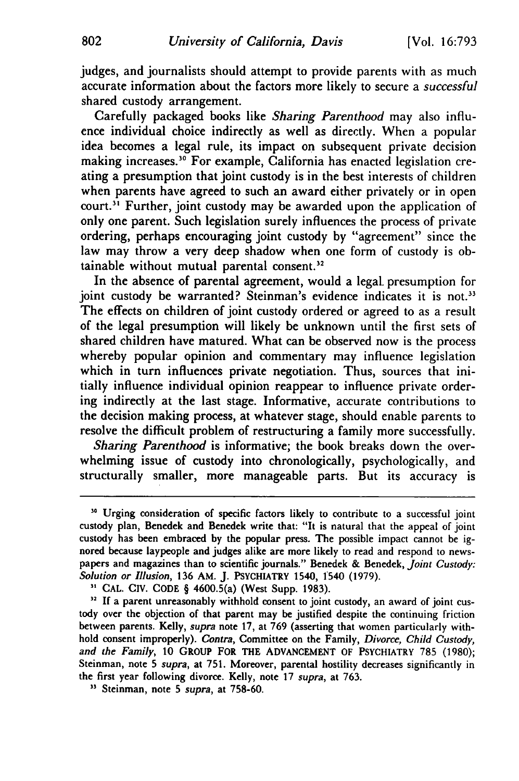judges, and journalists should attempt to provide parents with as much accurate information about the factors more likely to secure a *successful* shared custody arrangement.

Carefully packaged books like *Sharing Parenthood* may also influence individual choice indirectly as well as directly. When a popular idea becomes a legal rule, its impact on subsequent private decision making increases." For example, California has enacted legislation creating a presumption that joint custody is in the best interests of children when parents have agreed to such an award either privately or in open court.<sup>31</sup> Further, joint custody may be awarded upon the application of only one parent. Such legislation surely influences the process of private ordering, perhaps encouraging joint custody by "agreement" since the law may throw a very deep shadow when one form of custody is obtainable without mutual parental consent.<sup>32</sup>

In the absence of parental agreement, would a legal presumption for joint custody be warranted? Steinman's evidence indicates it is not.<sup>33</sup> The effects on children of joint custody ordered or agreed to as a result of the legal presumption will likely be unknown until the first sets of shared children have matured. What can be observed now is the process whereby popular opinion and commentary may influence legislation which in turn influences private negotiation. Thus, sources that initially influence individual opinion reappear to influence private ordering indirectly at the last stage. Informative, accurate contributions to the decision making process, at whatever stage, should enable parents to resolve the difficult problem of restructuring a family more successfully.

*Sharing Parenthood* is informative; the book breaks down the overwhelming issue of custody into chronologically, psychologically, and structurally smaller, more manageable parts. But its accuracy is

<sup>&</sup>lt;sup>30</sup> Urging consideration of specific factors likely to contribute to a successful joint custody plan, Benedek and Benedek write that: "It is natural that the appeal of joint custody has been embraced **by** the popular press. The possible impact cannot be ignored because laypeople and judges alike are more likely to read and respond to newspapers and magazines than to scientific journals." Benedek **&** Benedek, *Joint* Custody: *Solution or Illusion,* **136** AM. **J.** PSYCHIATRY 1540, 1540 **(1979).**

**<sup>&</sup>quot;** CAL. CIV. **CODE** § 4600.5(a) (West Supp. **1983).**

<sup>&</sup>lt;sup>32</sup> If a parent unreasonably withhold consent to joint custody, an award of joint custody over the objection of that parent may be justified despite the continuing friction between parents. Kelly, *supra* note **17,** at **769** (asserting that women particularly withhold consent improperly). *Contra,* Committee on the Family, *Divorce, Child Custody, and the Family,* **10 GROUP** FOR THE **ADVANCEMENT** OF PSYCHIATRY **785 (1980);** Steinman, note **5** *supra,* at **751.** Moreover, parental hostility decreases significantly in the first year following divorce. Kelly, note **17** *supra,* at **763.**

**<sup>&</sup>quot;** Steinman, note **5** *supra,* at **758-60.**